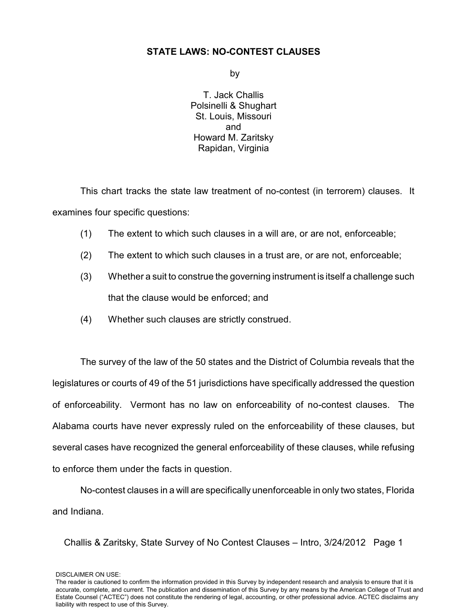### **STATE LAWS: NO-CONTEST CLAUSES**

by

T. Jack Challis Polsinelli & Shughart St. Louis, Missouri and Howard M. Zaritsky Rapidan, Virginia

This chart tracks the state law treatment of no-contest (in terrorem) clauses. It examines four specific questions:

- (1) The extent to which such clauses in a will are, or are not, enforceable;
- (2) The extent to which such clauses in a trust are, or are not, enforceable;
- (3) Whether a suit to construe the governing instrument is itself a challenge such that the clause would be enforced; and
- (4) Whether such clauses are strictly construed.

The survey of the law of the 50 states and the District of Columbia reveals that the legislatures or courts of 49 of the 51 jurisdictions have specifically addressed the question of enforceability. Vermont has no law on enforceability of no-contest clauses. The Alabama courts have never expressly ruled on the enforceability of these clauses, but several cases have recognized the general enforceability of these clauses, while refusing to enforce them under the facts in question.

No-contest clauses in a will are specifically unenforceable in only two states, Florida and Indiana.

Challis & Zaritsky, State Survey of No Contest Clauses – Intro, 3/24/2012 Page 1

DISCLAIMER ON USE: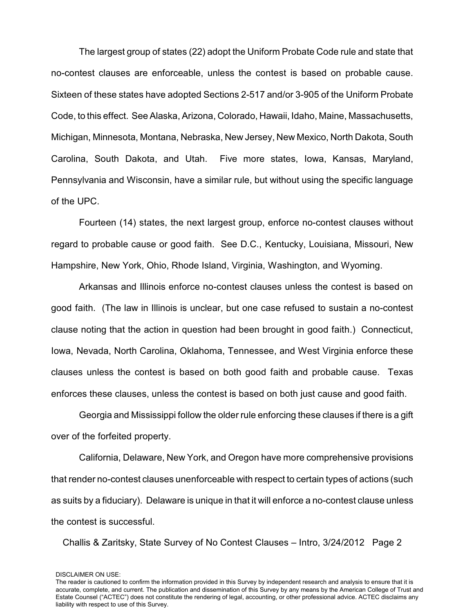The largest group of states (22) adopt the Uniform Probate Code rule and state that no-contest clauses are enforceable, unless the contest is based on probable cause. Sixteen of these states have adopted Sections 2-517 and/or 3-905 of the Uniform Probate Code, to this effect. See Alaska, Arizona, Colorado, Hawaii, Idaho, Maine, Massachusetts, Michigan, Minnesota, Montana, Nebraska, New Jersey, New Mexico, North Dakota, South Carolina, South Dakota, and Utah. Five more states, Iowa, Kansas, Maryland, Pennsylvania and Wisconsin, have a similar rule, but without using the specific language of the UPC.

Fourteen (14) states, the next largest group, enforce no-contest clauses without regard to probable cause or good faith. See D.C., Kentucky, Louisiana, Missouri, New Hampshire, New York, Ohio, Rhode Island, Virginia, Washington, and Wyoming.

Arkansas and Illinois enforce no-contest clauses unless the contest is based on good faith. (The law in Illinois is unclear, but one case refused to sustain a no-contest clause noting that the action in question had been brought in good faith.) Connecticut, Iowa, Nevada, North Carolina, Oklahoma, Tennessee, and West Virginia enforce these clauses unless the contest is based on both good faith and probable cause. Texas enforces these clauses, unless the contest is based on both just cause and good faith.

Georgia and Mississippi follow the older rule enforcing these clauses if there is a gift over of the forfeited property.

California, Delaware, New York, and Oregon have more comprehensive provisions that render no-contest clauses unenforceable with respect to certain types of actions (such as suits by a fiduciary). Delaware is unique in that it will enforce a no-contest clause unless the contest is successful.

Challis & Zaritsky, State Survey of No Contest Clauses – Intro, 3/24/2012 Page 2

DISCLAIMER ON USE: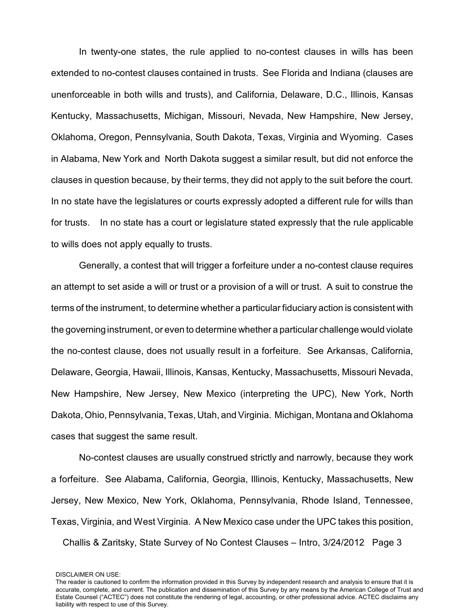In twenty-one states, the rule applied to no-contest clauses in wills has been extended to no-contest clauses contained in trusts. See Florida and Indiana (clauses are unenforceable in both wills and trusts), and California, Delaware, D.C., Illinois, Kansas Kentucky, Massachusetts, Michigan, Missouri, Nevada, New Hampshire, New Jersey, Oklahoma, Oregon, Pennsylvania, South Dakota, Texas, Virginia and Wyoming. Cases in Alabama, New York and North Dakota suggest a similar result, but did not enforce the clauses in question because, by their terms, they did not apply to the suit before the court. In no state have the legislatures or courts expressly adopted a different rule for wills than for trusts. In no state has a court or legislature stated expressly that the rule applicable to wills does not apply equally to trusts.

Generally, a contest that will trigger a forfeiture under a no-contest clause requires an attempt to set aside a will or trust or a provision of a will or trust. A suit to construe the terms of the instrument, to determine whether a particular fiduciary action is consistent with the governing instrument, or even to determine whether a particular challenge would violate the no-contest clause, does not usually result in a forfeiture. See Arkansas, California, Delaware, Georgia, Hawaii, Illinois, Kansas, Kentucky, Massachusetts, Missouri Nevada, New Hampshire, New Jersey, New Mexico (interpreting the UPC), New York, North Dakota, Ohio, Pennsylvania, Texas, Utah, and Virginia. Michigan, Montana and Oklahoma cases that suggest the same result.

No-contest clauses are usually construed strictly and narrowly, because they work a forfeiture. See Alabama, California, Georgia, Illinois, Kentucky, Massachusetts, New Jersey, New Mexico, New York, Oklahoma, Pennsylvania, Rhode Island, Tennessee, Texas, Virginia, and West Virginia. A New Mexico case under the UPC takes this position, Challis & Zaritsky, State Survey of No Contest Clauses – Intro, 3/24/2012 Page 3

The reader is cautioned to confirm the information provided in this Survey by independent research and analysis to ensure that it is accurate, complete, and current. The publication and dissemination of this Survey by any means by the American College of Trust and Estate Counsel ("ACTEC") does not constitute the rendering of legal, accounting, or other professional advice. ACTEC disclaims any liability with respect to use of this Survey.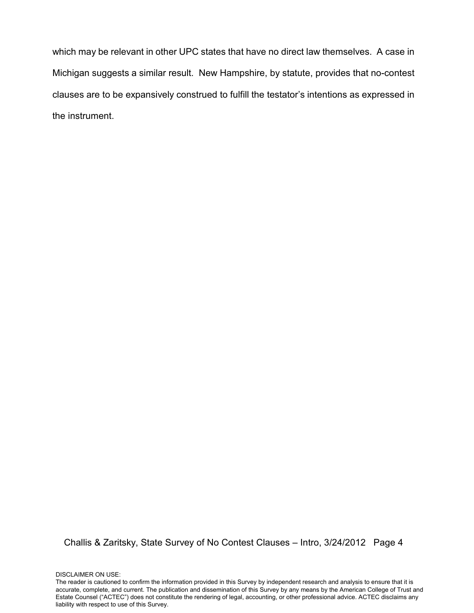which may be relevant in other UPC states that have no direct law themselves. A case in Michigan suggests a similar result. New Hampshire, by statute, provides that no-contest clauses are to be expansively construed to fulfill the testator's intentions as expressed in the instrument.

Challis & Zaritsky, State Survey of No Contest Clauses – Intro, 3/24/2012 Page 4

DISCLAIMER ON USE: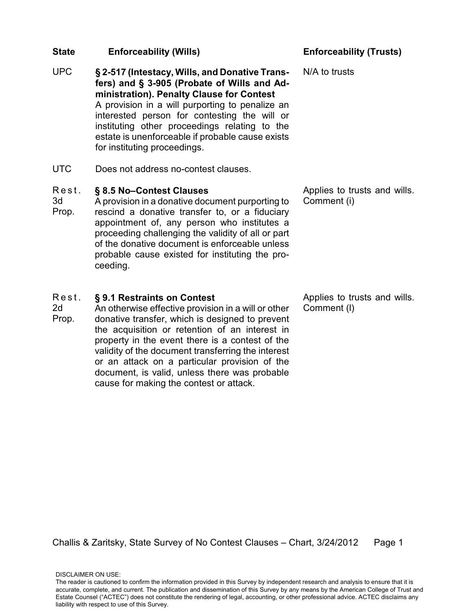- UPC **§ 2-517 (Intestacy, Wills, and Donative Transfers) and § 3-905 (Probate of Wills and Administration). Penalty Clause for Contest** A provision in a will purporting to penalize an interested person for contesting the will or instituting other proceedings relating to the estate is unenforceable if probable cause exists for instituting proceedings.
- UTC Does not address no-contest clauses.

### R e s t . **§ 8.5 No–Contest Clauses**

3d Prop. A provision in a donative document purporting to rescind a donative transfer to, or a fiduciary appointment of, any person who institutes a proceeding challenging the validity of all or part of the donative document is enforceable unless probable cause existed for instituting the proceeding.

### Rest. **§ 9.1 Restraints on Contest**

2d Prop. An otherwise effective provision in a will or other donative transfer, which is designed to prevent the acquisition or retention of an interest in property in the event there is a contest of the validity of the document transferring the interest or an attack on a particular provision of the document, is valid, unless there was probable cause for making the contest or attack.

N/A to trusts

Applies to trusts and wills. Comment (i)

Applies to trusts and wills. Comment (l)

Challis & Zaritsky, State Survey of No Contest Clauses – Chart, 3/24/2012 Page 1

DISCLAIMER ON USE: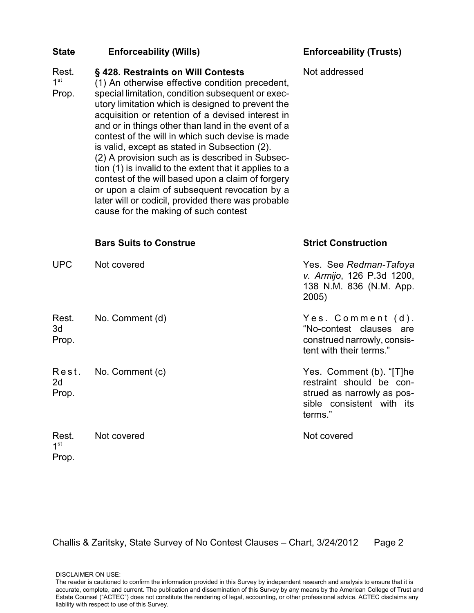### Rest. **§ 428. Restraints on Will Contests**

1 st (1) An otherwise effective condition precedent,

Prop. special limitation, condition subsequent or executory limitation which is designed to prevent the acquisition or retention of a devised interest in and or in things other than land in the event of a contest of the will in which such devise is made is valid, except as stated in Subsection (2). (2) A provision such as is described in Subsection (1) is invalid to the extent that it applies to a contest of the will based upon a claim of forgery or upon a claim of subsequent revocation by a later will or codicil, provided there was probable

cause for the making of such contest

Not addressed

|                                   | <b>Bars Suits to Construe</b> | <b>Strict Construction</b>                                                                                                 |
|-----------------------------------|-------------------------------|----------------------------------------------------------------------------------------------------------------------------|
| <b>UPC</b>                        | Not covered                   | Yes. See Redman-Tafoya<br>v. Armijo, 126 P.3d 1200,<br>138 N.M. 836 (N.M. App.<br>2005)                                    |
| Rest.<br>3d<br>Prop.              | No. Comment (d)               | Yes. Comment (d).<br>"No-contest clauses are<br>construed narrowly, consis-<br>tent with their terms."                     |
| Rest.<br>2d<br>Prop.              | No. Comment (c)               | Yes. Comment (b). "[T]he<br>restraint should be con-<br>strued as narrowly as pos-<br>sible consistent with its<br>terms." |
| Rest.<br>1 <sup>st</sup><br>Prop. | Not covered                   | Not covered                                                                                                                |

Challis & Zaritsky, State Survey of No Contest Clauses – Chart, 3/24/2012 Page 2

DISCLAIMER ON USE: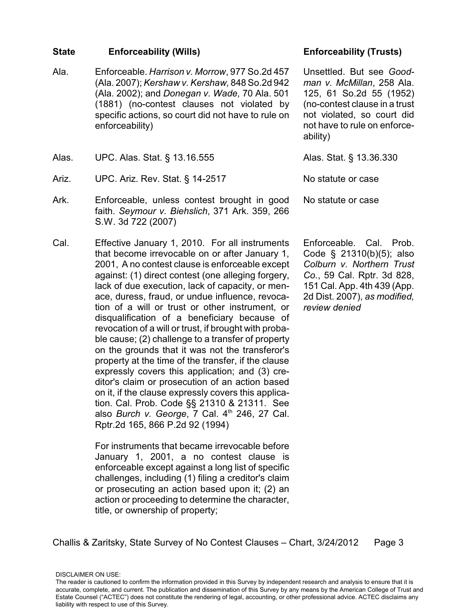- Ala. Enforceable. *Harrison v. Morrow*, 977 So.2d 457 (Ala. 2007); *Kershaw v. Kershaw,* 848 So.2d 942 (Ala. 2002); and *Donegan v. Wade,* 70 Ala. 501 (1881) (no-contest clauses not violated by specific actions, so court did not have to rule on enforceability)
- Alas. UPC. Alas. Stat. § 13.16.555 Alas. Stat. § 13.36.330
- Ariz. UPC. Ariz. Rev. Stat. § 14-2517 No statute or case
- Ark. Enforceable, unless contest brought in good faith. *Seymour v. Biehslich*, 371 Ark. 359, 266 S.W. 3d 722 (2007)
- Cal. Effective January 1, 2010. For all instruments that become irrevocable on or after January 1, 2001, A no contest clause is enforceable except against: (1) direct contest (one alleging forgery, lack of due execution, lack of capacity, or menace, duress, fraud, or undue influence, revocation of a will or trust or other instrument, or disqualification of a beneficiary because of revocation of a will or trust, if brought with probable cause; (2) challenge to a transfer of property on the grounds that it was not the transferor's property at the time of the transfer, if the clause expressly covers this application; and (3) creditor's claim or prosecution of an action based on it, if the clause expressly covers this application. Cal. Prob. Code §§ 21310 & 21311. See also *Burch v. George*, 7 Cal. 4<sup>th</sup> 246, 27 Cal. Rptr.2d 165, 866 P.2d 92 (1994)

For instruments that became irrevocable before January 1, 2001, a no contest clause is enforceable except against a long list of specific challenges, including (1) filing a creditor's claim or prosecuting an action based upon it; (2) an action or proceeding to determine the character, title, or ownership of property;

Unsettled. But see *Goodman v. McMillan*, 258 Ala. 125, 61 So.2d 55 (1952) (no-contest clause in a trust not violated, so court did not have to rule on enforceability)

No statute or case

Enforceable. Cal. Prob. Code § 21310(b)(5); also *Colburn v. Northern Trust Co.*, 59 Cal. Rptr. 3d 828, 151 Cal. App. 4th 439 (App. 2d Dist. 2007), *as modified, review denied*

Challis & Zaritsky, State Survey of No Contest Clauses – Chart, 3/24/2012 Page 3

The reader is cautioned to confirm the information provided in this Survey by independent research and analysis to ensure that it is accurate, complete, and current. The publication and dissemination of this Survey by any means by the American College of Trust and Estate Counsel ("ACTEC") does not constitute the rendering of legal, accounting, or other professional advice. ACTEC disclaims any liability with respect to use of this Survey.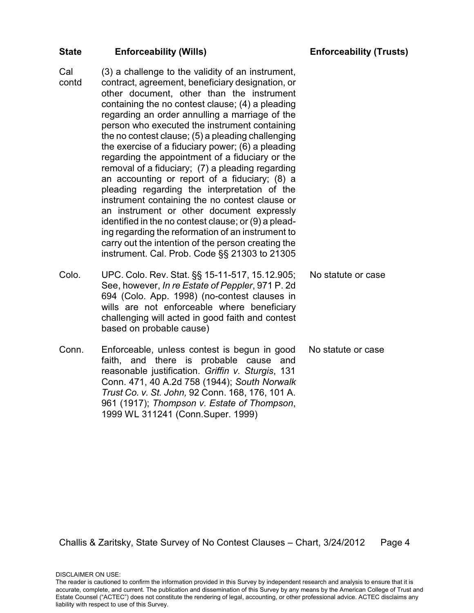Cal contd

(3) a challenge to the validity of an instrument, contract, agreement, beneficiary designation, or other document, other than the instrument containing the no contest clause; (4) a pleading regarding an order annulling a marriage of the person who executed the instrument containing the no contest clause; (5) a pleading challenging the exercise of a fiduciary power; (6) a pleading regarding the appointment of a fiduciary or the removal of a fiduciary; (7) a pleading regarding an accounting or report of a fiduciary; (8) a pleading regarding the interpretation of the instrument containing the no contest clause or an instrument or other document expressly identified in the no contest clause; or (9) a pleading regarding the reformation of an instrument to carry out the intention of the person creating the instrument. Cal. Prob. Code §§ 21303 to 21305

- Colo. UPC. Colo. Rev. Stat. §§ 15-11-517, 15.12.905; See, however, *In re Estate of Peppler*, 971 P. 2d 694 (Colo. App. 1998) (no-contest clauses in wills are not enforceable where beneficiary challenging will acted in good faith and contest based on probable cause) No statute or case
- Conn. Enforceable, unless contest is begun in good faith, and there is probable cause and reasonable justification. *Griffin v. Sturgis*, 131 Conn. 471, 40 A.2d 758 (1944); *South Norwalk Trust Co. v. St. John,* 92 Conn. 168, 176, 101 A. 961 (1917); *Thompson v. Estate of Thompson*, 1999 WL 311241 (Conn.Super. 1999) No statute or case

Challis & Zaritsky, State Survey of No Contest Clauses – Chart, 3/24/2012 Page 4

The reader is cautioned to confirm the information provided in this Survey by independent research and analysis to ensure that it is accurate, complete, and current. The publication and dissemination of this Survey by any means by the American College of Trust and Estate Counsel ("ACTEC") does not constitute the rendering of legal, accounting, or other professional advice. ACTEC disclaims any liability with respect to use of this Survey.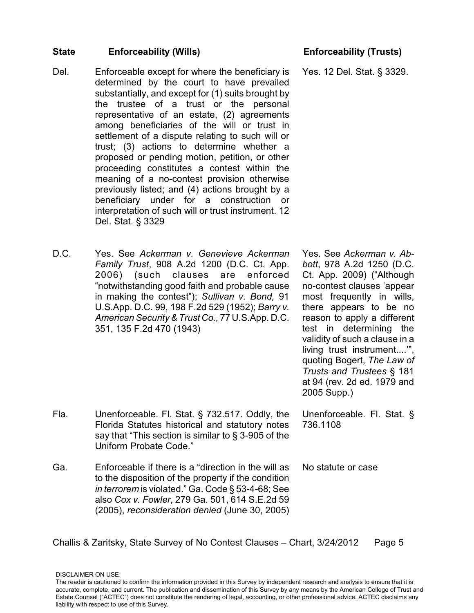- Del. Enforceable except for where the beneficiary is determined by the court to have prevailed substantially, and except for (1) suits brought by the trustee of a trust or the personal representative of an estate, (2) agreements among beneficiaries of the will or trust in settlement of a dispute relating to such will or trust; (3) actions to determine whether a proposed or pending motion, petition, or other proceeding constitutes a contest within the meaning of a no-contest provision otherwise previously listed; and (4) actions brought by a beneficiary under for a construction or interpretation of such will or trust instrument. 12 Del. Stat. § 3329
- D.C. Yes. See *Ackerman v. Genevieve Ackerman Family Trust*, 908 A.2d 1200 (D.C. Ct. App. 2006) (such clauses are enforced "notwithstanding good faith and probable cause in making the contest"); *Sullivan v. Bond,* 91 U.S.App. D.C. 99, 198 F.2d 529 (1952); *Barry v. American Security & Trust Co.,* 77 U.S.App. D.C. 351, 135 F.2d 470 (1943)

Yes. 12 Del. Stat. § 3329.

Yes. See *Ackerman v. Abbott*, 978 A.2d 1250 (D.C. Ct. App. 2009) ("Although no-contest clauses 'appear most frequently in wills, there appears to be no reason to apply a different test in determining the validity of such a clause in a living trust instrument....'", quoting Bogert, *The Law of Trusts and Trustees* § 181 at 94 (rev. 2d ed. 1979 and 2005 Supp.)

- Fla. Unenforceable. Fl. Stat. § 732.517. Oddly, the Florida Statutes historical and statutory notes say that "This section is similar to § 3-905 of the Uniform Probate Code."
- Ga. Enforceable if there is a "direction in the will as to the disposition of the property if the condition *in terrorem* is violated." Ga. Code § 53-4-68; See also *Cox v. Fowler*, 279 Ga. 501, 614 S.E.2d 59 (2005), *reconsideration denied* (June 30, 2005)

736.1108

Unenforceable. Fl. Stat. §

No statute or case

Challis & Zaritsky, State Survey of No Contest Clauses – Chart, 3/24/2012 Page 5

The reader is cautioned to confirm the information provided in this Survey by independent research and analysis to ensure that it is accurate, complete, and current. The publication and dissemination of this Survey by any means by the American College of Trust and Estate Counsel ("ACTEC") does not constitute the rendering of legal, accounting, or other professional advice. ACTEC disclaims any liability with respect to use of this Survey.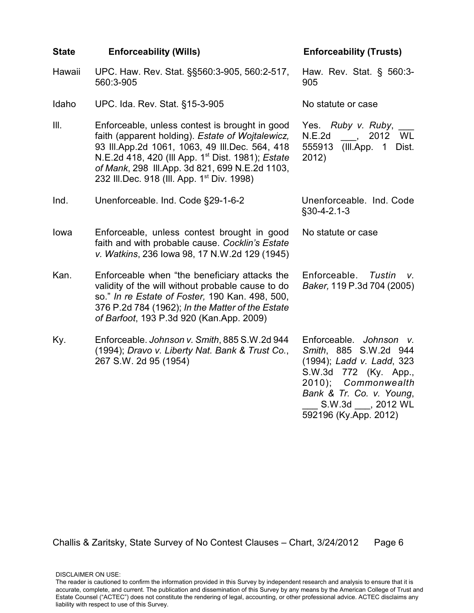| <b>State</b> | <b>Enforceability (Wills)</b>                                                                                                                                                                                                                                                                                                     | <b>Enforceability (Trusts)</b>                                                                                                                                                                                          |
|--------------|-----------------------------------------------------------------------------------------------------------------------------------------------------------------------------------------------------------------------------------------------------------------------------------------------------------------------------------|-------------------------------------------------------------------------------------------------------------------------------------------------------------------------------------------------------------------------|
| Hawaii       | UPC. Haw. Rev. Stat. §§560:3-905, 560:2-517,<br>560:3-905                                                                                                                                                                                                                                                                         | Haw. Rev. Stat. § 560:3-<br>905                                                                                                                                                                                         |
| Idaho        | UPC. Ida. Rev. Stat. §15-3-905                                                                                                                                                                                                                                                                                                    | No statute or case                                                                                                                                                                                                      |
| III.         | Enforceable, unless contest is brought in good<br>faith (apparent holding). Estate of Wojtalewicz,<br>93 III.App.2d 1061, 1063, 49 III.Dec. 564, 418<br>N.E.2d 418, 420 (Ill App. 1 <sup>st</sup> Dist. 1981); Estate<br>of Mank, 298 III.App. 3d 821, 699 N.E.2d 1103,<br>232 III.Dec. 918 (III. App. 1 <sup>st</sup> Div. 1998) | Yes. Ruby v. Ruby,<br>N.E.2d<br>2012 WL<br>(III.App. 1 Dist.<br>555913<br>2012)                                                                                                                                         |
| Ind.         | Unenforceable. Ind. Code §29-1-6-2                                                                                                                                                                                                                                                                                                | Unenforceable. Ind. Code<br>$§30-4-2.1-3$                                                                                                                                                                               |
| lowa         | Enforceable, unless contest brought in good<br>faith and with probable cause. Cocklin's Estate<br>v. Watkins, 236 Iowa 98, 17 N.W.2d 129 (1945)                                                                                                                                                                                   | No statute or case                                                                                                                                                                                                      |
| Kan.         | Enforceable when "the beneficiary attacks the<br>validity of the will without probable cause to do<br>so." In re Estate of Foster, 190 Kan. 498, 500,<br>376 P.2d 784 (1962); In the Matter of the Estate<br>of Barfoot, 193 P.3d 920 (Kan.App. 2009)                                                                             | Enforceable.<br>Tustin<br>V.<br>Baker, 119 P.3d 704 (2005)                                                                                                                                                              |
| Ky.          | Enforceable. Johnson v. Smith, 885 S.W.2d 944<br>(1994); Dravo v. Liberty Nat. Bank & Trust Co.,<br>267 S.W. 2d 95 (1954)                                                                                                                                                                                                         | Enforceable. Johnson<br>$V_{\rm c}$<br>Smith, 885 S.W.2d 944<br>(1994); Ladd v. Ladd, 323<br>S.W.3d 772 (Ky. App.,<br>$2010$ ;<br>Commonwealth<br>Bank & Tr. Co. v. Young,<br>S.W.3d , 2012 WL<br>592196 (Ky.App. 2012) |

The reader is cautioned to confirm the information provided in this Survey by independent research and analysis to ensure that it is accurate, complete, and current. The publication and dissemination of this Survey by any means by the American College of Trust and Estate Counsel ("ACTEC") does not constitute the rendering of legal, accounting, or other professional advice. ACTEC disclaims any liability with respect to use of this Survey.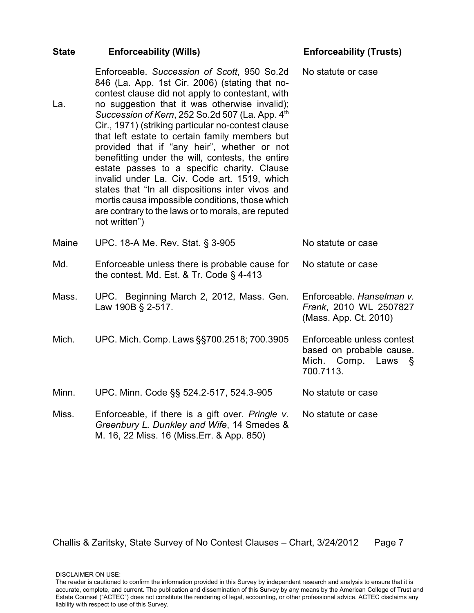| <b>State</b> | <b>Enforceability (Wills)</b>                                                                                                                                                                                                                                                                                                                                                                                                                                                                                                                                                                                                                                                                                                                 | <b>Enforceability (Trusts)</b>                                                                  |
|--------------|-----------------------------------------------------------------------------------------------------------------------------------------------------------------------------------------------------------------------------------------------------------------------------------------------------------------------------------------------------------------------------------------------------------------------------------------------------------------------------------------------------------------------------------------------------------------------------------------------------------------------------------------------------------------------------------------------------------------------------------------------|-------------------------------------------------------------------------------------------------|
| La.          | Enforceable. Succession of Scott, 950 So.2d<br>846 (La. App. 1st Cir. 2006) (stating that no-<br>contest clause did not apply to contestant, with<br>no suggestion that it was otherwise invalid);<br>Succession of Kern, 252 So.2d 507 (La. App. 4th<br>Cir., 1971) (striking particular no-contest clause<br>that left estate to certain family members but<br>provided that if "any heir", whether or not<br>benefitting under the will, contests, the entire<br>estate passes to a specific charity. Clause<br>invalid under La. Civ. Code art. 1519, which<br>states that "In all dispositions inter vivos and<br>mortis causa impossible conditions, those which<br>are contrary to the laws or to morals, are reputed<br>not written") | No statute or case                                                                              |
| Maine        | UPC. 18-A Me. Rev. Stat. § 3-905                                                                                                                                                                                                                                                                                                                                                                                                                                                                                                                                                                                                                                                                                                              | No statute or case                                                                              |
| Md.          | Enforceable unless there is probable cause for<br>the contest. Md. Est. & Tr. Code $\S$ 4-413                                                                                                                                                                                                                                                                                                                                                                                                                                                                                                                                                                                                                                                 | No statute or case                                                                              |
| Mass.        | UPC. Beginning March 2, 2012, Mass. Gen.<br>Law 190B § 2-517.                                                                                                                                                                                                                                                                                                                                                                                                                                                                                                                                                                                                                                                                                 | Enforceable. Hanselman v.<br>Frank, 2010 WL 2507827<br>(Mass. App. Ct. 2010)                    |
| Mich.        | UPC. Mich. Comp. Laws §§700.2518; 700.3905                                                                                                                                                                                                                                                                                                                                                                                                                                                                                                                                                                                                                                                                                                    | Enforceable unless contest<br>based on probable cause.<br>Mich.<br>Comp. Laws<br>Ş<br>700.7113. |
| Minn.        | UPC. Minn. Code §§ 524.2-517, 524.3-905                                                                                                                                                                                                                                                                                                                                                                                                                                                                                                                                                                                                                                                                                                       | No statute or case                                                                              |
| Miss.        | Enforceable, if there is a gift over. Pringle v.<br>Greenbury L. Dunkley and Wife, 14 Smedes &<br>M. 16, 22 Miss. 16 (Miss.Err. & App. 850)                                                                                                                                                                                                                                                                                                                                                                                                                                                                                                                                                                                                   | No statute or case                                                                              |

The reader is cautioned to confirm the information provided in this Survey by independent research and analysis to ensure that it is accurate, complete, and current. The publication and dissemination of this Survey by any means by the American College of Trust and Estate Counsel ("ACTEC") does not constitute the rendering of legal, accounting, or other professional advice. ACTEC disclaims any liability with respect to use of this Survey.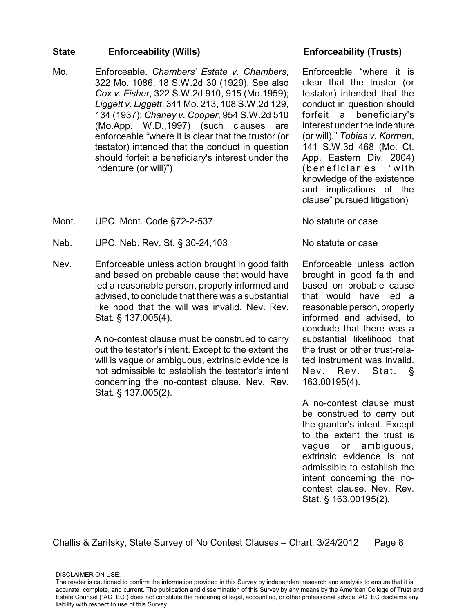- Mo. Enforceable. *Chambers' Estate v. Chambers*, 322 Mo. 1086, 18 S.W.2d 30 (1929). See also *Cox v. Fisher*, 322 S.W.2d 910, 915 (Mo.1959); *Liggett v. Liggett*, 341 Mo. 213, 108 S.W.2d 129, 134 (1937); *Chaney v. Cooper*, 954 S.W.2d 510 (Mo.App. W.D.,1997) (such clauses are enforceable "where it is clear that the trustor (or testator) intended that the conduct in question should forfeit a beneficiary's interest under the indenture (or will)")
- Mont. UPC. Mont. Code §72-2-537 No statute or case
- Neb. UPC. Neb. Rev. St. § 30-24,103 No statute or case
- Nev. Enforceable unless action brought in good faith and based on probable cause that would have led a reasonable person, properly informed and advised, to conclude that there was a substantial likelihood that the will was invalid. Nev. Rev. Stat. § 137.005(4).

A no-contest clause must be construed to carry out the testator's intent. Except to the extent the will is vague or ambiguous, extrinsic evidence is not admissible to establish the testator's intent concerning the no-contest clause. Nev. Rev. Stat. § 137.005(2).

Enforceable "where it is clear that the trustor (or testator) intended that the conduct in question should forfeit a beneficiary's interest under the indenture (or will)." *Tobias v. Korman*, 141 S.W.3d 468 (Mo. Ct. App. Eastern Div. 2004) (beneficiaries "with knowledge of the existence and implications of the clause" pursued litigation)

Enforceable unless action brought in good faith and based on probable cause that would have led a reasonable person, properly informed and advised, to conclude that there was a substantial likelihood that the trust or other trust-related instrument was invalid. Nev. Rev. Stat. § 163.00195(4).

A no-contest clause must be construed to carry out the grantor's intent. Except to the extent the trust is vague or ambiguous, extrinsic evidence is not admissible to establish the intent concerning the nocontest clause. Nev. Rev. Stat. § 163.00195(2).

Challis & Zaritsky, State Survey of No Contest Clauses – Chart, 3/24/2012 Page 8

The reader is cautioned to confirm the information provided in this Survey by independent research and analysis to ensure that it is accurate, complete, and current. The publication and dissemination of this Survey by any means by the American College of Trust and Estate Counsel ("ACTEC") does not constitute the rendering of legal, accounting, or other professional advice. ACTEC disclaims any liability with respect to use of this Survey.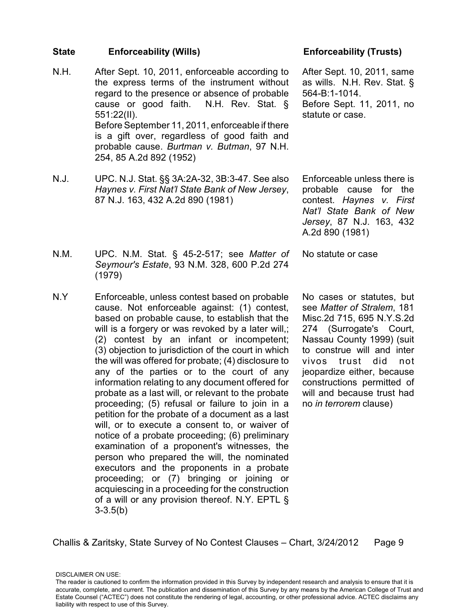- N.H. After Sept. 10, 2011, enforceable according to the express terms of the instrument without regard to the presence or absence of probable cause or good faith. N.H. Rev. Stat. § 551:22(II). Before September 11, 2011, enforceable if there is a gift over, regardless of good faith and probable cause. *Burtman v. Butman*, 97 N.H. 254, 85 A.2d 892 (1952)
- N.J. UPC. N.J. Stat. §§ 3A:2A-32, 3B:3-47. See also *Haynes v. First Nat'l State Bank of New Jersey*, 87 N.J. 163, 432 A.2d 890 (1981)

After Sept. 10, 2011, same as wills. N.H. Rev. Stat. § 564-B:1-1014. Before Sept. 11, 2011, no statute or case.

Enforceable unless there is probable cause for the contest. *Haynes v. First Nat'l State Bank of New Jersey*, 87 N.J. 163, 432 A.2d 890 (1981)

No statute or case

- N.M. UPC. N.M. Stat. § 45-2-517; see *Matter of Seymour's Estate*, 93 N.M. 328, 600 P.2d 274 (1979)
- N.Y Enforceable, unless contest based on probable cause. Not enforceable against: (1) contest, based on probable cause, to establish that the will is a forgery or was revoked by a later will,; (2) contest by an infant or incompetent; (3) objection to jurisdiction of the court in which the will was offered for probate; (4) disclosure to any of the parties or to the court of any information relating to any document offered for probate as a last will, or relevant to the probate proceeding; (5) refusal or failure to join in a petition for the probate of a document as a last will, or to execute a consent to, or waiver of notice of a probate proceeding; (6) preliminary examination of a proponent's witnesses, the person who prepared the will, the nominated executors and the proponents in a probate proceeding; or (7) bringing or joining or acquiescing in a proceeding for the construction of a will or any provision thereof. N.Y. EPTL § 3-3.5(b)

No cases or statutes, but see *Matter of Stralem*, 181 Misc.2d 715, 695 N.Y.S.2d 274 (Surrogate's Court, Nassau County 1999) (suit to construe will and inter vivos trust did not jeopardize either, because constructions permitted of will and because trust had no *in terrorem* clause)

Challis & Zaritsky, State Survey of No Contest Clauses – Chart, 3/24/2012 Page 9

DISCLAIMER ON USE: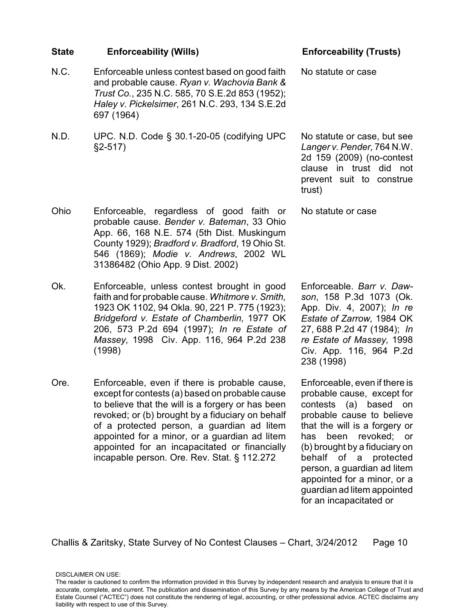# and probable cause. *Ryan v. Wachovia Bank & Trust Co.*, 235 N.C. 585, 70 S.E.2d 853 (1952); *Haley v. Pickelsimer*, 261 N.C. 293, 134 S.E.2d 697 (1964) N.D. UPC. N.D. Code § 30.1-20-05 (codifying UPC §2-517)

N.C. Enforceable unless contest based on good faith

- Ohio Enforceable, regardless of good faith or probable cause. *Bender v. Bateman*, 33 Ohio App. 66, 168 N.E. 574 (5th Dist. Muskingum County 1929); *Bradford v. Bradford*, 19 Ohio St. 546 (1869); *Modie v. Andrews*, 2002 WL 31386482 (Ohio App. 9 Dist. 2002)
- Ok. Enforceable, unless contest brought in good faith and for probable cause. *Whitmore v. Smith,* 1923 OK 1102, 94 Okla. 90, 221 P. 775 (1923); *Bridgeford v. Estate of Chamberlin,* 1977 OK 206, 573 P.2d 694 (1997); *In re Estate of Massey,* 1998 Civ. App. 116, 964 P.2d 238 (1998)
- Ore. Enforceable, even if there is probable cause, except for contests (a) based on probable cause to believe that the will is a forgery or has been revoked; or (b) brought by a fiduciary on behalf of a protected person, a guardian ad litem appointed for a minor, or a guardian ad litem appointed for an incapacitated or financially incapable person. Ore. Rev. Stat. § 112.272

## **State Enforceability (Wills) Enforceability (Trusts)**

No statute or case

No statute or case, but see *Langer v. Pender,* 764 N.W. 2d 159 (2009) (no-contest clause in trust did not prevent suit to construe trust)

No statute or case

Enforceable. *Barr v. Dawson*, 158 P.3d 1073 (Ok. App. Div. 4, 2007); *In re Estate of Zarrow,* 1984 OK 27, 688 P.2d 47 (1984); *In re Estate of Massey,* 1998 Civ. App. 116, 964 P.2d 238 (1998)

Enforceable, even if there is probable cause, except for contests (a) based on probable cause to believe that the will is a forgery or has been revoked; or (b) brought by a fiduciary on behalf of a protected person, a guardian ad litem appointed for a minor, or a guardian ad litem appointed for an incapacitated or

Challis & Zaritsky, State Survey of No Contest Clauses – Chart, 3/24/2012 Page 10

DISCLAIMER ON USE: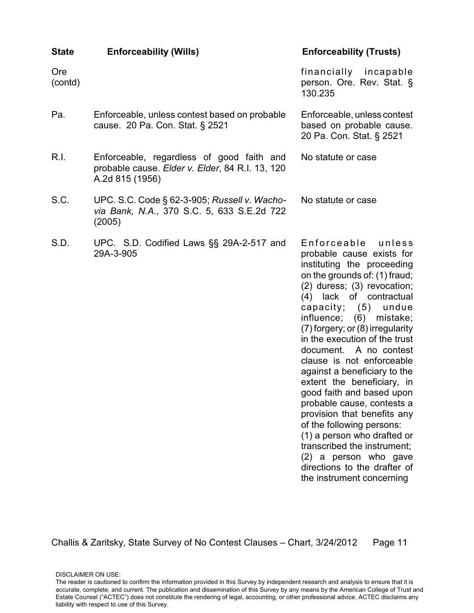| <b>State</b>   | <b>Enforceability (Wills)</b>                                                                                   | <b>Enforceability (Trusts)</b>                                                                                                                                                                                                                                                                                                                                                                                                                                                                                                                                                                                                                                                                        |
|----------------|-----------------------------------------------------------------------------------------------------------------|-------------------------------------------------------------------------------------------------------------------------------------------------------------------------------------------------------------------------------------------------------------------------------------------------------------------------------------------------------------------------------------------------------------------------------------------------------------------------------------------------------------------------------------------------------------------------------------------------------------------------------------------------------------------------------------------------------|
| Ore<br>(contd) |                                                                                                                 | financially incapable<br>person. Ore. Rev. Stat. §<br>130.235                                                                                                                                                                                                                                                                                                                                                                                                                                                                                                                                                                                                                                         |
| Pa.            | Enforceable, unless contest based on probable<br>cause. 20 Pa. Con. Stat. § 2521                                | Enforceable, unless contest<br>based on probable cause.<br>20 Pa. Con. Stat. § 2521                                                                                                                                                                                                                                                                                                                                                                                                                                                                                                                                                                                                                   |
| R.I.           | Enforceable, regardless of good faith and<br>probable cause. Elder v. Elder, 84 R.I. 13, 120<br>A.2d 815 (1956) | No statute or case                                                                                                                                                                                                                                                                                                                                                                                                                                                                                                                                                                                                                                                                                    |
| S.C.           | UPC. S.C. Code § 62-3-905; Russell v. Wacho-<br>via Bank, N.A., 370 S.C. 5, 633 S.E.2d 722<br>(2005)            | No statute or case                                                                                                                                                                                                                                                                                                                                                                                                                                                                                                                                                                                                                                                                                    |
| S.D.           | UPC. S.D. Codified Laws §§ 29A-2-517 and<br>29A-3-905                                                           | Enforceable<br>unless<br>probable cause exists for<br>instituting the proceeding<br>on the grounds of: (1) fraud;<br>(2) duress; (3) revocation;<br>(4) lack of contractual<br>capacity; (5)<br>undue<br>influence; (6) mistake;<br>(7) forgery; or (8) irregularity<br>in the execution of the trust<br>document. A no contest<br>clause is not enforceable<br>against a beneficiary to the<br>extent the beneficiary, in<br>good faith and based upon<br>probable cause, contests a<br>provision that benefits any<br>of the following persons:<br>(1) a person who drafted or<br>transcribed the instrument;<br>(2) a person who gave<br>directions to the drafter of<br>the instrument concerning |

DISCLAIMER ON USE: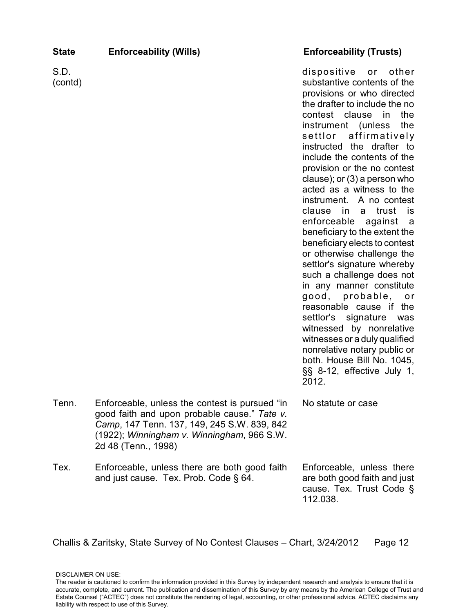| <b>State</b>    | <b>Enforceability (Wills)</b>                                                                                                                                                                                      | <b>Enforceability (Trusts)</b>                                                                                                                                                                                                                                                                                                                                                                                                                                                                                                                                                                                                                                                                                                                                                                                                                                                                                 |
|-----------------|--------------------------------------------------------------------------------------------------------------------------------------------------------------------------------------------------------------------|----------------------------------------------------------------------------------------------------------------------------------------------------------------------------------------------------------------------------------------------------------------------------------------------------------------------------------------------------------------------------------------------------------------------------------------------------------------------------------------------------------------------------------------------------------------------------------------------------------------------------------------------------------------------------------------------------------------------------------------------------------------------------------------------------------------------------------------------------------------------------------------------------------------|
| S.D.<br>(contd) |                                                                                                                                                                                                                    | dispositive<br>other<br>or<br>substantive contents of the<br>provisions or who directed<br>the drafter to include the no<br>contest clause in<br>the<br>instrument (unless<br>the<br>affirmatively<br>settlor<br>instructed the drafter to<br>include the contents of the<br>provision or the no contest<br>clause); or $(3)$ a person who<br>acted as a witness to the<br>instrument. A no contest<br>clause<br>in<br>trust<br>is i<br>a<br>enforceable against a<br>beneficiary to the extent the<br>beneficiary elects to contest<br>or otherwise challenge the<br>settlor's signature whereby<br>such a challenge does not<br>in any manner constitute<br>good, probable, or<br>reasonable cause if<br>the<br>settlor's signature<br>was<br>witnessed by nonrelative<br>witnesses or a duly qualified<br>nonrelative notary public or<br>both. House Bill No. 1045,<br>§§ 8-12, effective July 1,<br>2012. |
| Tenn.           | Enforceable, unless the contest is pursued "in<br>good faith and upon probable cause." Tate v.<br>Camp, 147 Tenn. 137, 149, 245 S.W. 839, 842<br>(1922); Winningham v. Winningham, 966 S.W.<br>2d 48 (Tenn., 1998) | No statute or case                                                                                                                                                                                                                                                                                                                                                                                                                                                                                                                                                                                                                                                                                                                                                                                                                                                                                             |
| Tex.            | Enforceable, unless there are both good faith<br>and just cause. Tex. Prob. Code § 64.                                                                                                                             | Enforceable, unless there<br>are both good faith and just                                                                                                                                                                                                                                                                                                                                                                                                                                                                                                                                                                                                                                                                                                                                                                                                                                                      |

cause. Tex. Trust Code §

112.038.

The reader is cautioned to confirm the information provided in this Survey by independent research and analysis to ensure that it is accurate, complete, and current. The publication and dissemination of this Survey by any means by the American College of Trust and Estate Counsel ("ACTEC") does not constitute the rendering of legal, accounting, or other professional advice. ACTEC disclaims any liability with respect to use of this Survey.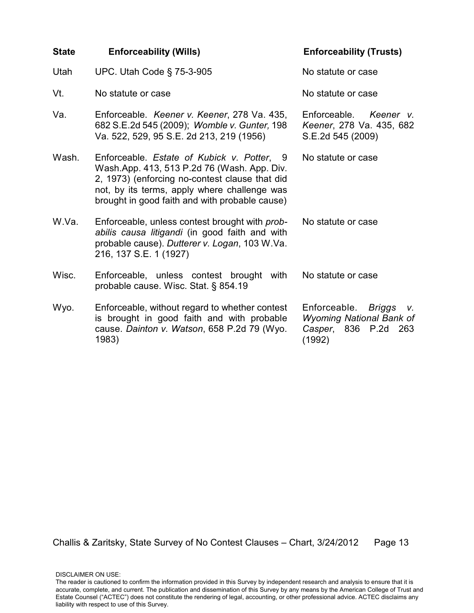| <b>State</b> | <b>Enforceability (Wills)</b>                                                                                                                                                                                                                 | <b>Enforceability (Trusts)</b>                                                                          |
|--------------|-----------------------------------------------------------------------------------------------------------------------------------------------------------------------------------------------------------------------------------------------|---------------------------------------------------------------------------------------------------------|
| Utah         | UPC. Utah Code § 75-3-905                                                                                                                                                                                                                     | No statute or case                                                                                      |
| Vt.          | No statute or case                                                                                                                                                                                                                            | No statute or case                                                                                      |
| Va.          | Enforceable. Keener v. Keener, 278 Va. 435,<br>682 S.E.2d 545 (2009); Womble v. Gunter, 198<br>Va. 522, 529, 95 S.E. 2d 213, 219 (1956)                                                                                                       | Enforceable. Keener v.<br>Keener, 278 Va. 435, 682<br>S.E.2d 545 (2009)                                 |
| Wash.        | Enforceable. Estate of Kubick v. Potter, 9<br>Wash.App. 413, 513 P.2d 76 (Wash. App. Div.<br>2, 1973) (enforcing no-contest clause that did<br>not, by its terms, apply where challenge was<br>brought in good faith and with probable cause) | No statute or case                                                                                      |
| W.Va.        | Enforceable, unless contest brought with prob-<br>abilis causa litigandi (in good faith and with<br>probable cause). Dutterer v. Logan, 103 W.Va.<br>216, 137 S.E. 1 (1927)                                                                   | No statute or case                                                                                      |
| Wisc.        | Enforceable, unless contest brought with<br>probable cause. Wisc. Stat. § 854.19                                                                                                                                                              | No statute or case                                                                                      |
| Wyo.         | Enforceable, without regard to whether contest<br>is brought in good faith and with probable<br>cause. Dainton v. Watson, 658 P.2d 79 (Wyo.<br>1983)                                                                                          | Enforceable.<br>Briggs<br>V.<br><b>Wyoming National Bank of</b><br>Casper,<br>836 P.2d<br>263<br>(1992) |

DISCLAIMER ON USE: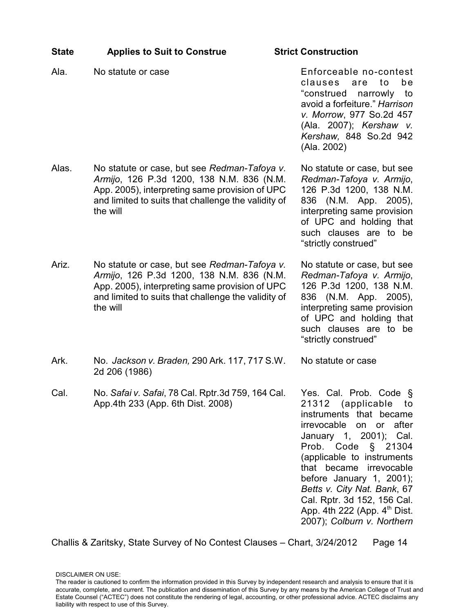| <b>State</b> | <b>Applies to Suit to Construe</b>                                                                                                                                                                             | <b>Strict Construction</b>                                                                                                                                                                                                                                                                                                                                              |
|--------------|----------------------------------------------------------------------------------------------------------------------------------------------------------------------------------------------------------------|-------------------------------------------------------------------------------------------------------------------------------------------------------------------------------------------------------------------------------------------------------------------------------------------------------------------------------------------------------------------------|
| Ala.         | No statute or case                                                                                                                                                                                             | Enforceable no-contest<br>clauses<br>to<br>be<br>are<br>"construed narrowly<br>to<br>avoid a forfeiture." Harrison<br>v. Morrow, 977 So.2d 457<br>(Ala. 2007); Kershaw v.<br>Kershaw, 848 So.2d 942<br>(Ala. 2002)                                                                                                                                                      |
| Alas.        | No statute or case, but see Redman-Tafoya v.<br>Armijo, 126 P.3d 1200, 138 N.M. 836 (N.M.<br>App. 2005), interpreting same provision of UPC<br>and limited to suits that challenge the validity of<br>the will | No statute or case, but see<br>Redman-Tafoya v. Armijo,<br>126 P.3d 1200, 138 N.M.<br>836 (N.M. App. 2005),<br>interpreting same provision<br>of UPC and holding that<br>such clauses are to be<br>"strictly construed"                                                                                                                                                 |
| Ariz.        | No statute or case, but see Redman-Tafoya v.<br>Armijo, 126 P.3d 1200, 138 N.M. 836 (N.M.<br>App. 2005), interpreting same provision of UPC<br>and limited to suits that challenge the validity of<br>the will | No statute or case, but see<br>Redman-Tafoya v. Armijo,<br>126 P.3d 1200, 138 N.M.<br>836 (N.M. App. 2005),<br>interpreting same provision<br>of UPC and holding that<br>such clauses are to be<br>"strictly construed"                                                                                                                                                 |
| Ark.         | No. Jackson v. Braden, 290 Ark. 117, 717 S.W.<br>2d 206 (1986)                                                                                                                                                 | No statute or case                                                                                                                                                                                                                                                                                                                                                      |
| Cal          | No. Safai v. Safai, 78 Cal. Rptr.3d 759, 164 Cal.<br>App.4th 233 (App. 6th Dist. 2008)                                                                                                                         | Yes. Cal. Prob. Code §<br>21312 (applicable to<br>instruments that became<br>irrevocable on or after<br>January 1, 2001); Cal.<br>Prob. Code § 21304<br>(applicable to instruments<br>that became irrevocable<br>before January 1, 2001);<br>Betts v. City Nat. Bank, 67<br>Cal. Rptr. 3d 152, 156 Cal.<br>App. 4th 222 (App. $4th$ Dist.<br>2007); Colburn v. Northern |

The reader is cautioned to confirm the information provided in this Survey by independent research and analysis to ensure that it is accurate, complete, and current. The publication and dissemination of this Survey by any means by the American College of Trust and Estate Counsel ("ACTEC") does not constitute the rendering of legal, accounting, or other professional advice. ACTEC disclaims any liability with respect to use of this Survey.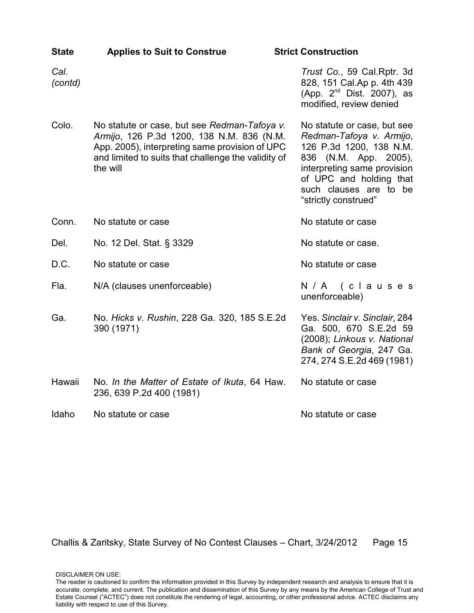| <b>State</b>    | <b>Applies to Suit to Construe</b>                                                                                                                                                                             | <b>Strict Construction</b>                                                                                                                                                                                                 |
|-----------------|----------------------------------------------------------------------------------------------------------------------------------------------------------------------------------------------------------------|----------------------------------------------------------------------------------------------------------------------------------------------------------------------------------------------------------------------------|
| Cal.<br>(contd) |                                                                                                                                                                                                                | Trust Co., 59 Cal.Rptr. 3d<br>828, 151 Cal.Ap p. 4th 439<br>(App. 2 <sup>nd</sup> Dist. 2007), as<br>modified, review denied                                                                                               |
| Colo.           | No statute or case, but see Redman-Tafoya v.<br>Armijo, 126 P.3d 1200, 138 N.M. 836 (N.M.<br>App. 2005), interpreting same provision of UPC<br>and limited to suits that challenge the validity of<br>the will | No statute or case, but see<br>Redman-Tafoya v. Armijo,<br>126 P.3d 1200, 138 N.M.<br>(N.M. App. 2005),<br>836<br>interpreting same provision<br>of UPC and holding that<br>such clauses are to be<br>"strictly construed" |
| Conn.           | No statute or case                                                                                                                                                                                             | No statute or case                                                                                                                                                                                                         |
| Del.            | No. 12 Del. Stat. § 3329                                                                                                                                                                                       | No statute or case.                                                                                                                                                                                                        |
| D.C.            | No statute or case                                                                                                                                                                                             | No statute or case                                                                                                                                                                                                         |
| Fla.            | N/A (clauses unenforceable)                                                                                                                                                                                    | N/A (clauses<br>unenforceable)                                                                                                                                                                                             |
| Ga.             | No. Hicks v. Rushin, 228 Ga. 320, 185 S.E.2d<br>390 (1971)                                                                                                                                                     | Yes. Sinclair v. Sinclair, 284<br>Ga. 500, 670 S.E.2d 59<br>(2008); Linkous v. National<br>Bank of Georgia, 247 Ga.<br>274, 274 S.E.2d 469 (1981)                                                                          |
| Hawaii          | No. In the Matter of Estate of Ikuta, 64 Haw.<br>236, 639 P.2d 400 (1981)                                                                                                                                      | No statute or case                                                                                                                                                                                                         |
| Idaho           | No statute or case                                                                                                                                                                                             | No statute or case                                                                                                                                                                                                         |

DISCLAIMER ON USE: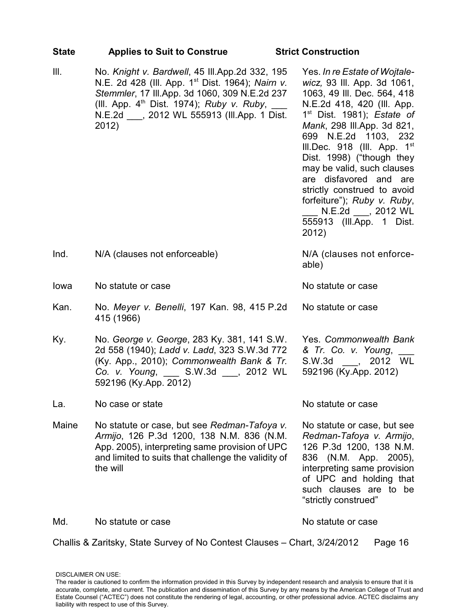| <b>State</b> | <b>Applies to Suit to Construe</b>                                                                                                                                                                                                                                       | <b>Strict Construction</b>                                                                                                                                                                                                                                                                                                                                                                                                                                       |
|--------------|--------------------------------------------------------------------------------------------------------------------------------------------------------------------------------------------------------------------------------------------------------------------------|------------------------------------------------------------------------------------------------------------------------------------------------------------------------------------------------------------------------------------------------------------------------------------------------------------------------------------------------------------------------------------------------------------------------------------------------------------------|
| Ш.           | No. Knight v. Bardwell, 45 III.App.2d 332, 195<br>N.E. 2d 428 (III. App. 1 <sup>st</sup> Dist. 1964); Nairn v.<br>Stemmler, 17 III.App. 3d 1060, 309 N.E.2d 237<br>(III. App. $4th$ Dist. 1974); Ruby v. Ruby,<br>N.E.2d ____, 2012 WL 555913 (III.App. 1 Dist.<br>2012) | Yes. In re Estate of Wojtale-<br>wicz, 93 III. App. 3d 1061,<br>1063, 49 III. Dec. 564, 418<br>N.E.2d 418, 420 (III. App.<br>$1st$ Dist. 1981); Estate of<br>Mank, 298 III.App. 3d 821,<br>699 N.E.2d 1103, 232<br>III.Dec. 918 (III. App. $1st$<br>Dist. 1998) ("though they<br>may be valid, such clauses<br>are disfavored and are<br>strictly construed to avoid<br>forfeiture"); Ruby v. Ruby,<br>N.E.2d ____, 2012 WL<br>555913 (III.App. 1 Dist.<br>2012) |
| Ind.         | N/A (clauses not enforceable)                                                                                                                                                                                                                                            | N/A (clauses not enforce-<br>able)                                                                                                                                                                                                                                                                                                                                                                                                                               |
| lowa         | No statute or case                                                                                                                                                                                                                                                       | No statute or case                                                                                                                                                                                                                                                                                                                                                                                                                                               |
| Kan.         | No. Meyer v. Benelli, 197 Kan. 98, 415 P.2d<br>415 (1966)                                                                                                                                                                                                                | No statute or case                                                                                                                                                                                                                                                                                                                                                                                                                                               |
| Ky.          | No. George v. George, 283 Ky. 381, 141 S.W.<br>2d 558 (1940); Ladd v. Ladd, 323 S.W.3d 772<br>(Ky. App., 2010); Commonwealth Bank & Tr.<br>Co. v. Young, S.W.3d , 2012 WL<br>592196 (Ky.App. 2012)                                                                       | Yes. Commonwealth Bank<br>& Tr. Co. v. Young,<br>S.W.3d , 2012 WL<br>592196 (Ky.App. 2012)                                                                                                                                                                                                                                                                                                                                                                       |
| La.          | No case or state                                                                                                                                                                                                                                                         | No statute or case                                                                                                                                                                                                                                                                                                                                                                                                                                               |
| Maine        | No statute or case, but see Redman-Tafoya v.<br>Armijo, 126 P.3d 1200, 138 N.M. 836 (N.M.<br>App. 2005), interpreting same provision of UPC<br>and limited to suits that challenge the validity of<br>the will                                                           | No statute or case, but see<br>Redman-Tafoya v. Armijo,<br>126 P.3d 1200, 138 N.M.<br>(N.M. App. 2005),<br>836<br>interpreting same provision<br>of UPC and holding that<br>such clauses are to be<br>"strictly construed"                                                                                                                                                                                                                                       |
| Md.          | No statute or case                                                                                                                                                                                                                                                       | No statute or case                                                                                                                                                                                                                                                                                                                                                                                                                                               |
|              | Challis & Zaritsky, State Survey of No Contest Clauses - Chart, 3/24/2012                                                                                                                                                                                                | Page 16                                                                                                                                                                                                                                                                                                                                                                                                                                                          |

The reader is cautioned to confirm the information provided in this Survey by independent research and analysis to ensure that it is accurate, complete, and current. The publication and dissemination of this Survey by any means by the American College of Trust and Estate Counsel ("ACTEC") does not constitute the rendering of legal, accounting, or other professional advice. ACTEC disclaims any liability with respect to use of this Survey.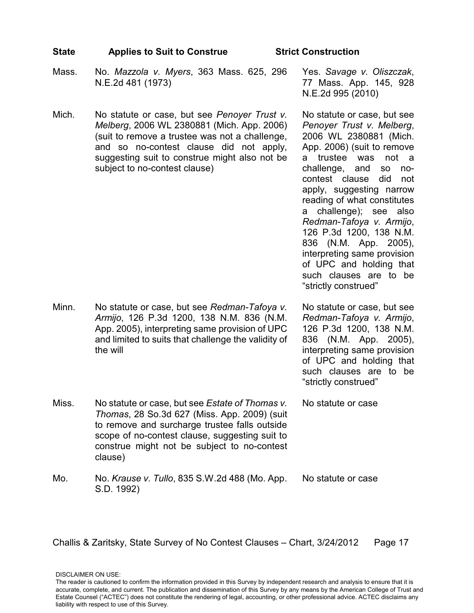### **State Applies to Suit to Construe Strict Construction**

- Mass. No. *Mazzola v. Myers*, 363 Mass. 625, 296 N.E.2d 481 (1973)
- Mich. No statute or case, but see *Penoyer Trust v. Melberg*, 2006 WL 2380881 (Mich. App. 2006) (suit to remove a trustee was not a challenge, and so no-contest clause did not apply, suggesting suit to construe might also not be subject to no-contest clause)

Yes. *Savage v. Oliszczak*, 77 Mass. App. 145, 928 N.E.2d 995 (2010)

No statute or case, but see *Penoyer Trust v. Melberg*, 2006 WL 2380881 (Mich. App. 2006) (suit to remove a trustee was not a challenge, and so nocontest clause did not apply, suggesting narrow reading of what constitutes a challenge); see also *Redman-Tafoya v. Armijo*, 126 P.3d 1200, 138 N.M. 836 (N.M. App. 2005), interpreting same provision of UPC and holding that such clauses are to be "strictly construed"

Minn. No statute or case, but see *Redman-Tafoya v. Armijo*, 126 P.3d 1200, 138 N.M. 836 (N.M. App. 2005), interpreting same provision of UPC and limited to suits that challenge the validity of the will

No statute or case, but see *Redman-Tafoya v. Armijo*, 126 P.3d 1200, 138 N.M. 836 (N.M. App. 2005), interpreting same provision of UPC and holding that such clauses are to be "strictly construed"

No statute or case

Miss. No statute or case, but see *Estate of Thomas v. Thomas*, 28 So.3d 627 (Miss. App. 2009) (suit to remove and surcharge trustee falls outside scope of no-contest clause, suggesting suit to construe might not be subject to no-contest clause)

Mo. No. *Krause v. Tullo*, 835 S.W.2d 488 (Mo. App. S.D. 1992) No statute or case

Challis & Zaritsky, State Survey of No Contest Clauses – Chart, 3/24/2012 Page 17

The reader is cautioned to confirm the information provided in this Survey by independent research and analysis to ensure that it is accurate, complete, and current. The publication and dissemination of this Survey by any means by the American College of Trust and Estate Counsel ("ACTEC") does not constitute the rendering of legal, accounting, or other professional advice. ACTEC disclaims any liability with respect to use of this Survey.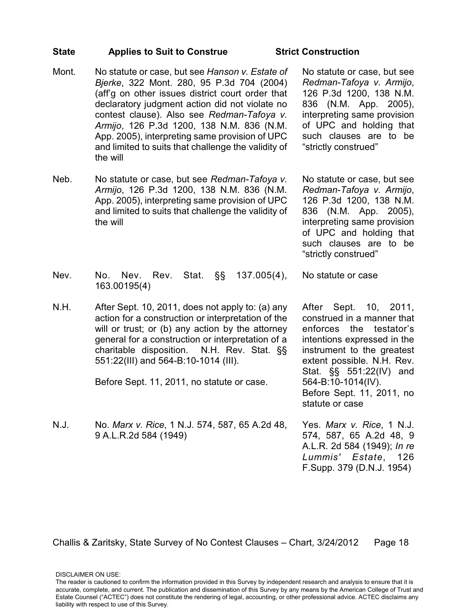### **State Applies to Suit to Construe Strict Construction**

- Mont. No statute or case, but see *Hanson v. Estate of Bjerke*, 322 Mont. 280, 95 P.3d 704 (2004) (aff'g on other issues district court order that declaratory judgment action did not violate no contest clause). Also see *Redman-Tafoya v. Armijo*, 126 P.3d 1200, 138 N.M. 836 (N.M. App. 2005), interpreting same provision of UPC and limited to suits that challenge the validity of the will
- Neb. No statute or case, but see *Redman-Tafoya v. Armijo*, 126 P.3d 1200, 138 N.M. 836 (N.M. App. 2005), interpreting same provision of UPC and limited to suits that challenge the validity of the will

No statute or case, but see *Redman-Tafoya v. Armijo*, 126 P.3d 1200, 138 N.M. 836 (N.M. App. 2005), interpreting same provision of UPC and holding that such clauses are to be "strictly construed"

No statute or case, but see *Redman-Tafoya v. Armijo*, 126 P.3d 1200, 138 N.M. 836 (N.M. App. 2005), interpreting same provision of UPC and holding that such clauses are to be "strictly construed"

No statute or case

- Nev. No. Nev. Rev. Stat. §§ 137.005(4), 163.00195(4)
- N.H. After Sept. 10, 2011, does not apply to: (a) any action for a construction or interpretation of the will or trust; or (b) any action by the attorney general for a construction or interpretation of a charitable disposition. N.H. Rev. Stat. §§ 551:22(III) and 564-B:10-1014 (III).

Before Sept. 11, 2011, no statute or case.

N.J. No. *Marx v. Rice*, 1 N.J. 574, 587, 65 A.2d 48, 9 A.L.R.2d 584 (1949)

After Sept. 10, 2011, construed in a manner that enforces the testator's intentions expressed in the instrument to the greatest extent possible. N.H. Rev. Stat. §§ 551:22(IV) and 564-B:10-1014(IV). Before Sept. 11, 2011, no statute or case

Yes. *Marx v. Rice*, 1 N.J. 574, 587, 65 A.2d 48, 9 A.L.R. 2d 584 (1949); *In re Lummis' Estate*, 126 F.Supp. 379 (D.N.J. 1954)

Challis & Zaritsky, State Survey of No Contest Clauses – Chart, 3/24/2012 Page 18

The reader is cautioned to confirm the information provided in this Survey by independent research and analysis to ensure that it is accurate, complete, and current. The publication and dissemination of this Survey by any means by the American College of Trust and Estate Counsel ("ACTEC") does not constitute the rendering of legal, accounting, or other professional advice. ACTEC disclaims any liability with respect to use of this Survey.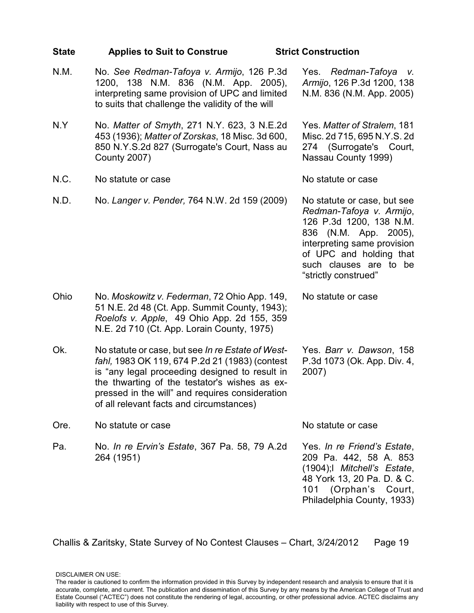| <b>State</b> | <b>Applies to Suit to Construe</b>                                                                                                                                                                                                                                                                    | <b>Strict Construction</b>                                                                                                                                                                                              |
|--------------|-------------------------------------------------------------------------------------------------------------------------------------------------------------------------------------------------------------------------------------------------------------------------------------------------------|-------------------------------------------------------------------------------------------------------------------------------------------------------------------------------------------------------------------------|
| N.M.         | No. See Redman-Tafoya v. Armijo, 126 P.3d<br>1200, 138 N.M. 836 (N.M. App. 2005),<br>interpreting same provision of UPC and limited<br>to suits that challenge the validity of the will                                                                                                               | Yes. Redman-Tafoya<br>V.<br>Armijo, 126 P.3d 1200, 138<br>N.M. 836 (N.M. App. 2005)                                                                                                                                     |
| N.Y          | No. Matter of Smyth, 271 N.Y. 623, 3 N.E.2d<br>453 (1936); Matter of Zorskas, 18 Misc. 3d 600,<br>850 N.Y.S.2d 827 (Surrogate's Court, Nass au<br><b>County 2007)</b>                                                                                                                                 | Yes. Matter of Stralem, 181<br>Misc. 2d 715, 695 N.Y.S. 2d<br>274 (Surrogate's Court,<br>Nassau County 1999)                                                                                                            |
| N.C.         | No statute or case                                                                                                                                                                                                                                                                                    | No statute or case                                                                                                                                                                                                      |
| N.D.         | No. Langer v. Pender, 764 N.W. 2d 159 (2009)                                                                                                                                                                                                                                                          | No statute or case, but see<br>Redman-Tafoya v. Armijo,<br>126 P.3d 1200, 138 N.M.<br>836 (N.M. App. 2005),<br>interpreting same provision<br>of UPC and holding that<br>such clauses are to be<br>"strictly construed" |
| Ohio         | No. Moskowitz v. Federman, 72 Ohio App. 149,<br>51 N.E. 2d 48 (Ct. App. Summit County, 1943);<br>Roelofs v. Apple, 49 Ohio App. 2d 155, 359<br>N.E. 2d 710 (Ct. App. Lorain County, 1975)                                                                                                             | No statute or case                                                                                                                                                                                                      |
| Ok.          | No statute or case, but see In re Estate of West-<br>fahl, 1983 OK 119, 674 P.2d 21 (1983) (contest<br>is "any legal proceeding designed to result in<br>the thwarting of the testator's wishes as ex-<br>pressed in the will" and requires consideration<br>of all relevant facts and circumstances) | Yes. Barr v. Dawson, 158<br>P.3d 1073 (Ok. App. Div. 4,<br>2007)                                                                                                                                                        |
| Ore.         | No statute or case                                                                                                                                                                                                                                                                                    | No statute or case                                                                                                                                                                                                      |
| Pa.          | No. <i>In re Ervin's Estate</i> , 367 Pa. 58, 79 A.2d<br>264 (1951)                                                                                                                                                                                                                                   | Yes. In re Friend's Estate,<br>209 Pa. 442, 58 A. 853<br>(1904); Mitchell's Estate,<br>48 York 13, 20 Pa. D. & C.<br>101 (Orphan's Court,<br>Philadelphia County, 1933)                                                 |

The reader is cautioned to confirm the information provided in this Survey by independent research and analysis to ensure that it is accurate, complete, and current. The publication and dissemination of this Survey by any means by the American College of Trust and Estate Counsel ("ACTEC") does not constitute the rendering of legal, accounting, or other professional advice. ACTEC disclaims any liability with respect to use of this Survey.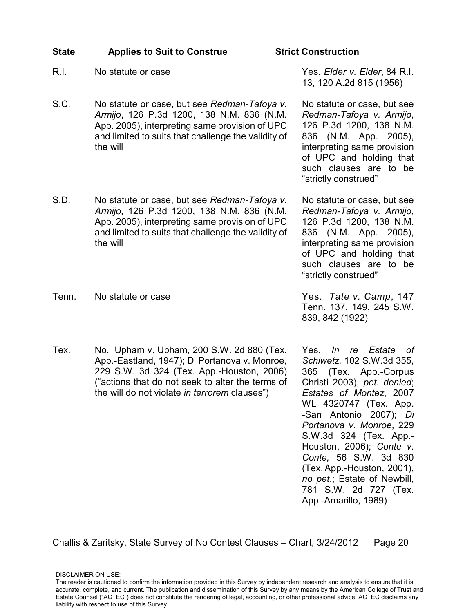### **State Applies to Suit to Construe Strict Construction**

- 
- S.C. No statute or case, but see *Redman-Tafoya v. Armijo*, 126 P.3d 1200, 138 N.M. 836 (N.M. App. 2005), interpreting same provision of UPC and limited to suits that challenge the validity of the will
- S.D. No statute or case, but see *Redman-Tafoya v. Armijo*, 126 P.3d 1200, 138 N.M. 836 (N.M. App. 2005), interpreting same provision of UPC and limited to suits that challenge the validity of the will
- Tenn. No statute or case **Yes.** Tate v. Camp, 147

liability with respect to use of this Survey.

Tex. No. Upham v. Upham, 200 S.W. 2d 880 (Tex. App.-Eastland, 1947); Di Portanova v. Monroe, 229 S.W. 3d 324 (Tex. App.-Houston, 2006) ("actions that do not seek to alter the terms of the will do not violate *in terrorem* clauses")

Yes. *In re Estate of Schiwetz,* 102 S.W.3d 355, 365 (Tex. App.-Corpus Christi 2003), *pet. denied*; *Estates of Montez*, 2007 WL 4320747 (Tex. App. -San Antonio 2007); *Di Portanova v. Monroe*, 229 S.W.3d 324 (Tex. App.- Houston, 2006); *Conte v. Conte,* 56 S.W. 3d 830 (Tex. App.-Houston, 2001), *no pet*.; Estate of Newbill, 781 S.W. 2d 727 (Tex. App.-Amarillo, 1989)

R.I. No statute or case Yes. *Elder v. Elder*, 84 R.I. 13, 120 A.2d 815 (1956)

> No statute or case, but see *Redman-Tafoya v. Armijo*, 126 P.3d 1200, 138 N.M. 836 (N.M. App. 2005), interpreting same provision of UPC and holding that such clauses are to be "strictly construed"

> No statute or case, but see *Redman-Tafoya v. Armijo*, 126 P.3d 1200, 138 N.M. 836 (N.M. App. 2005), interpreting same provision of UPC and holding that such clauses are to be "strictly construed"

Tenn. 137, 149, 245 S.W. 839, 842 (1922)